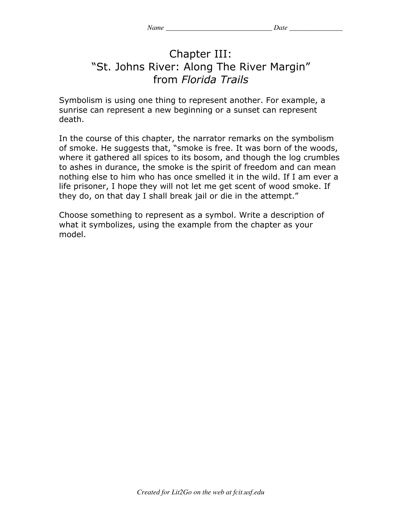## Chapter III: "St. Johns River: Along The River Margin" from *Florida Trails*

Symbolism is using one thing to represent another. For example, a sunrise can represent a new beginning or a sunset can represent death.

In the course of this chapter, the narrator remarks on the symbolism of smoke. He suggests that, "smoke is free. It was born of the woods, where it gathered all spices to its bosom, and though the log crumbles to ashes in durance, the smoke is the spirit of freedom and can mean nothing else to him who has once smelled it in the wild. If I am ever a life prisoner, I hope they will not let me get scent of wood smoke. If they do, on that day I shall break jail or die in the attempt."

Choose something to represent as a symbol. Write a description of what it symbolizes, using the example from the chapter as your model.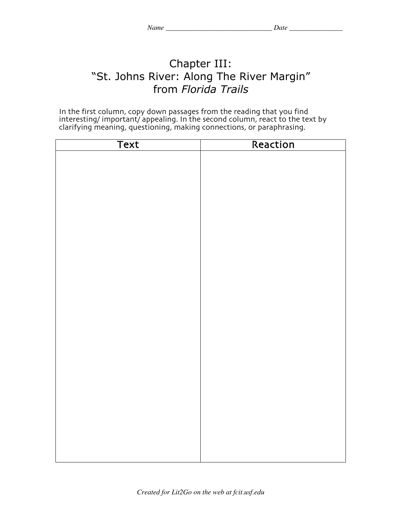## Chapter III: "St. Johns River: Along The River Margin" from *Florida Trails*

In the first column, copy down passages from the reading that you find interesting/ important/ appealing. In the second column, react to the text by clarifying meaning, questioning, making connections, or paraphrasing.

| <b>Text</b> | Reaction |
|-------------|----------|
|             |          |
|             |          |
|             |          |
|             |          |
|             |          |
|             |          |
|             |          |
|             |          |
|             |          |
|             |          |
|             |          |
|             |          |
|             |          |
|             |          |
|             |          |
|             |          |
|             |          |
|             |          |
|             |          |
|             |          |
|             |          |
|             |          |
|             |          |
|             |          |
|             |          |
|             |          |
|             |          |
|             |          |